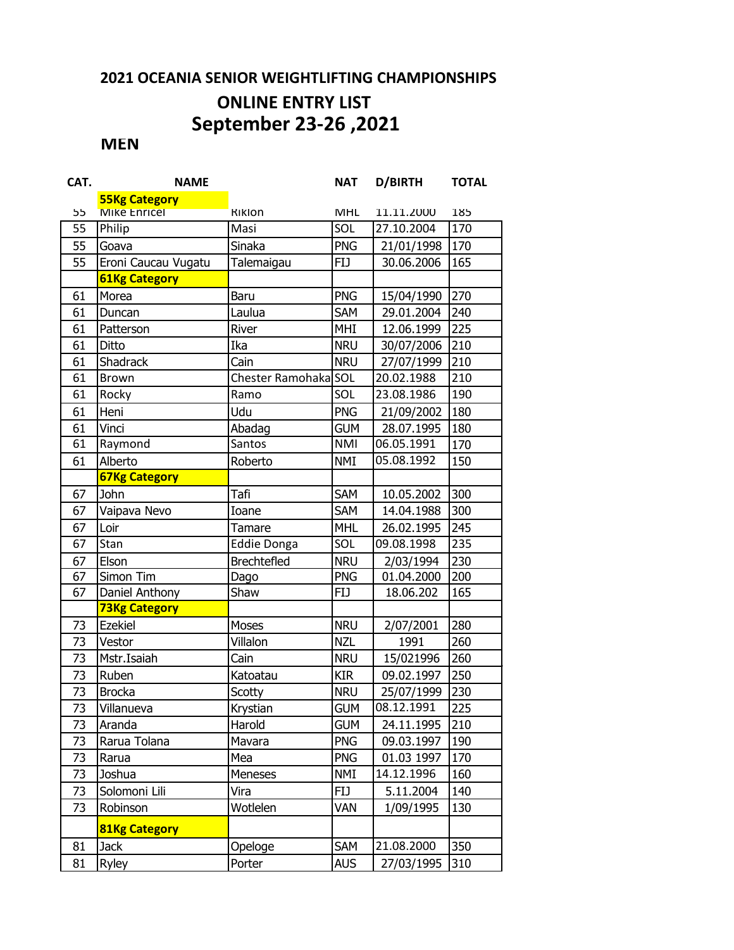## **2021 OCEANIA SENIOR WEIGHTLIFTING CHAMPIONSHIPS**

## **ONLINE ENTRY LIST September 23-26 ,2021**

## **MEN**

| CAT. | <b>NAME</b>          |                      | <b>NAT</b> | D/BIRTH    | <b>TOTAL</b> |
|------|----------------------|----------------------|------------|------------|--------------|
|      | <b>55Kg Category</b> |                      |            |            |              |
| 55   | Mike Enricel         | <b>Riklon</b>        | MHL        | 11.11.2000 | 185          |
| 55   | Philip               | Masi                 | SOL        | 27.10.2004 | 170          |
| 55   | Goava                | Sinaka               | <b>PNG</b> | 21/01/1998 | 170          |
| 55   | Eroni Caucau Vugatu  | Talemaigau           | <b>FIJ</b> | 30.06.2006 | 165          |
|      | <b>61Kg Category</b> |                      |            |            |              |
| 61   | Morea                | Baru                 | <b>PNG</b> | 15/04/1990 | 270          |
| 61   | Duncan               | Laulua               | SAM        | 29.01.2004 | 240          |
| 61   | Patterson            | River                | MHI        | 12.06.1999 | 225          |
| 61   | Ditto                | Ika                  | <b>NRU</b> | 30/07/2006 | 210          |
| 61   | Shadrack             | Cain                 | <b>NRU</b> | 27/07/1999 | 210          |
| 61   | <b>Brown</b>         | Chester Ramohaka SOL |            | 20.02.1988 | 210          |
| 61   | Rocky                | Ramo                 | SOL        | 23.08.1986 | 190          |
| 61   | Heni                 | Udu                  | <b>PNG</b> | 21/09/2002 | 180          |
| 61   | Vinci                | Abadag               | <b>GUM</b> | 28.07.1995 | 180          |
| 61   | Raymond              | Santos               | <b>NMI</b> | 06.05.1991 | 170          |
| 61   | Alberto              | Roberto              | <b>NMI</b> | 05.08.1992 | 150          |
|      | <b>67Kg Category</b> |                      |            |            |              |
| 67   | John                 | Tafi                 | SAM        | 10.05.2002 | 300          |
| 67   | Vaipava Nevo         | Ioane                | SAM        | 14.04.1988 | 300          |
| 67   | Loir                 | Tamare               | <b>MHL</b> | 26.02.1995 | 245          |
| 67   | Stan                 | <b>Eddie Donga</b>   | SOL        | 09.08.1998 | 235          |
| 67   | Elson                | <b>Brechtefled</b>   | <b>NRU</b> | 2/03/1994  | 230          |
| 67   | Simon Tim            | Dago                 | <b>PNG</b> | 01.04.2000 | 200          |
| 67   | Daniel Anthony       | Shaw                 | <b>FIJ</b> | 18.06.202  | 165          |
|      | <b>73Kg Category</b> |                      |            |            |              |
| 73   | <b>Ezekiel</b>       | Moses                | <b>NRU</b> | 2/07/2001  | 280          |
| 73   | Vestor               | Villalon             | <b>NZL</b> | 1991       | 260          |
| 73   | Mstr.Isaiah          | Cain                 | <b>NRU</b> | 15/021996  | 260          |
| 73   | Ruben                | Katoatau             | <b>KIR</b> | 09.02.1997 | 250          |
| 73   | <b>Brocka</b>        | Scotty               | <b>NRU</b> | 25/07/1999 | 230          |
| 73   | Villanueva           | Krystian             | <b>GUM</b> | 08.12.1991 | 225          |
| 73   | Aranda               | Harold               | <b>GUM</b> | 24.11.1995 | 210          |
| 73   | Rarua Tolana         | Mavara               | <b>PNG</b> | 09.03.1997 | 190          |
| 73   | Rarua                | Mea                  | <b>PNG</b> | 01.03 1997 | 170          |
| 73   | Joshua               | <b>Meneses</b>       | NMI        | 14.12.1996 | 160          |
| 73   | Solomoni Lili        | Vira                 | <b>FIJ</b> | 5.11.2004  | 140          |
| 73   | Robinson             | Wotlelen             | Van        | 1/09/1995  | 130          |
|      | <b>81Kg Category</b> |                      |            |            |              |
| 81   | <b>Jack</b>          | Opeloge              | SAM        | 21.08.2000 | 350          |
| 81   | Ryley                | Porter               | <b>AUS</b> | 27/03/1995 | 310          |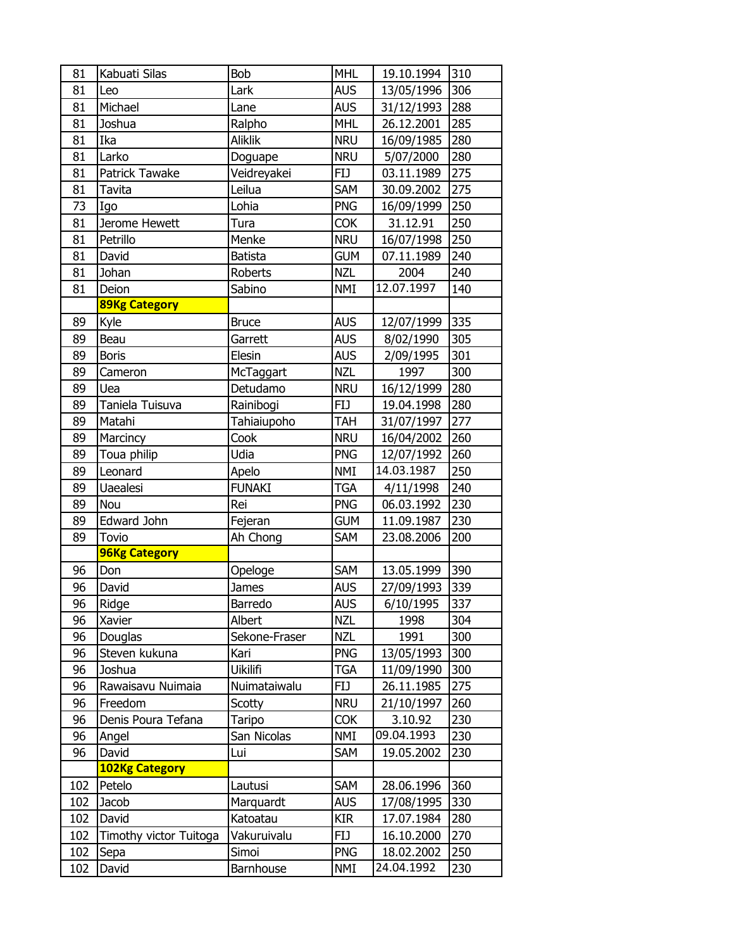| 81  | Kabuati Silas          | <b>Bob</b>     | <b>MHL</b> | 19.10.1994 | 310 |
|-----|------------------------|----------------|------------|------------|-----|
| 81  | Leo                    | Lark           | <b>AUS</b> | 13/05/1996 | 306 |
| 81  | Michael                | Lane           | <b>AUS</b> | 31/12/1993 | 288 |
| 81  | Joshua                 | Ralpho         | <b>MHL</b> | 26.12.2001 | 285 |
| 81  | Ika                    | <b>Aliklik</b> | <b>NRU</b> | 16/09/1985 | 280 |
| 81  | Larko                  | Doguape        | <b>NRU</b> | 5/07/2000  | 280 |
| 81  | Patrick Tawake         | Veidreyakei    | <b>FIJ</b> | 03.11.1989 | 275 |
| 81  | Tavita                 | Leilua         | SAM        | 30.09.2002 | 275 |
| 73  | Igo                    | Lohia          | <b>PNG</b> | 16/09/1999 | 250 |
| 81  | Jerome Hewett          | Tura           | <b>COK</b> | 31.12.91   | 250 |
| 81  | Petrillo               | Menke          | <b>NRU</b> | 16/07/1998 | 250 |
| 81  | David                  | <b>Batista</b> | <b>GUM</b> | 07.11.1989 | 240 |
| 81  | Johan                  | Roberts        | <b>NZL</b> | 2004       | 240 |
| 81  | Deion                  | Sabino         | <b>NMI</b> | 12.07.1997 | 140 |
|     | <b>89Kg Category</b>   |                |            |            |     |
| 89  | Kyle                   | <b>Bruce</b>   | <b>AUS</b> | 12/07/1999 | 335 |
| 89  | Beau                   | Garrett        | <b>AUS</b> | 8/02/1990  | 305 |
| 89  | <b>Boris</b>           | Elesin         | <b>AUS</b> | 2/09/1995  | 301 |
| 89  | Cameron                | McTaggart      | <b>NZL</b> | 1997       | 300 |
| 89  | Uea                    | Detudamo       | <b>NRU</b> | 16/12/1999 | 280 |
| 89  | Taniela Tuisuva        | Rainibogi      | <b>FIJ</b> | 19.04.1998 | 280 |
| 89  | Matahi                 | Tahiaiupoho    | <b>TAH</b> | 31/07/1997 | 277 |
| 89  | Marcincy               | Cook           | <b>NRU</b> | 16/04/2002 | 260 |
| 89  | Toua philip            | Udia           | <b>PNG</b> | 12/07/1992 | 260 |
| 89  | Leonard                | Apelo          | <b>NMI</b> | 14.03.1987 | 250 |
| 89  | <b>Uaealesi</b>        | <b>FUNAKI</b>  | <b>TGA</b> | 4/11/1998  | 240 |
| 89  | Nou                    | Rei            | <b>PNG</b> | 06.03.1992 | 230 |
| 89  | Edward John            | Fejeran        | <b>GUM</b> | 11.09.1987 | 230 |
| 89  | Tovio                  | Ah Chong       | SAM        | 23.08.2006 | 200 |
|     | <b>96Kg Category</b>   |                |            |            |     |
| 96  | Don                    | Opeloge        | SAM        | 13.05.1999 | 390 |
| 96  | David                  | James          | <b>AUS</b> | 27/09/1993 | 339 |
| 96  | Ridge                  | Barredo        | <b>AUS</b> | 6/10/1995  | 337 |
| 96  | Xavier                 | Albert         | <b>NZL</b> | 1998       | 304 |
| 96  | Douglas                | Sekone-Fraser  | <b>NZL</b> | 1991       | 300 |
| 96  | Steven kukuna          | Kari           | <b>PNG</b> | 13/05/1993 | 300 |
| 96  | Joshua                 | Uikilifi       | TGA        | 11/09/1990 | 300 |
| 96  | Rawaisavu Nuimaia      | Nuimataiwalu   | <b>FIJ</b> | 26.11.1985 | 275 |
| 96  | Freedom                | Scotty         | <b>NRU</b> | 21/10/1997 | 260 |
| 96  | Denis Poura Tefana     | Taripo         | <b>COK</b> | 3.10.92    | 230 |
| 96  | Angel                  | San Nicolas    | <b>NMI</b> | 09.04.1993 | 230 |
| 96  | David                  | Lui            | <b>SAM</b> | 19.05.2002 | 230 |
|     | <b>102Kg Category</b>  |                |            |            |     |
| 102 | Petelo                 | Lautusi        | SAM        | 28.06.1996 | 360 |
| 102 | Jacob                  | Marquardt      | <b>AUS</b> | 17/08/1995 | 330 |
| 102 | David                  | Katoatau       | <b>KIR</b> | 17.07.1984 | 280 |
| 102 | Timothy victor Tuitoga | Vakuruivalu    | <b>FIJ</b> | 16.10.2000 | 270 |
| 102 | Sepa                   | Simoi          | <b>PNG</b> | 18.02.2002 | 250 |
| 102 | David                  | Barnhouse      | <b>NMI</b> | 24.04.1992 | 230 |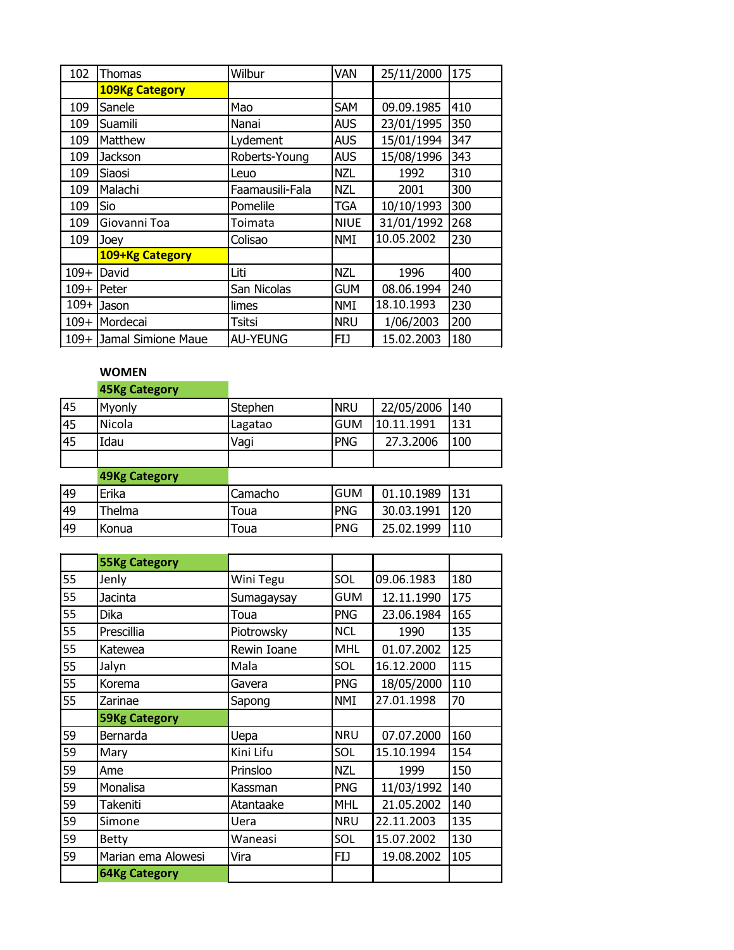| 102    | Thomas                  | Wilbur          | VAN         | 25/11/2000 | 175 |
|--------|-------------------------|-----------------|-------------|------------|-----|
|        | <b>109Kg Category</b>   |                 |             |            |     |
| 109    | Sanele                  | Mao             | <b>SAM</b>  | 09.09.1985 | 410 |
| 109    | Suamili                 | Nanai           | <b>AUS</b>  | 23/01/1995 | 350 |
| 109    | Matthew                 | Lydement        | <b>AUS</b>  | 15/01/1994 | 347 |
| 109    | Jackson                 | Roberts-Young   | <b>AUS</b>  | 15/08/1996 | 343 |
| 109    | Siaosi                  | Leuo            | <b>NZL</b>  | 1992       | 310 |
| 109    | Malachi                 | Faamausili-Fala | <b>NZL</b>  | 2001       | 300 |
| 109    | Sio                     | Pomelile        | <b>TGA</b>  | 10/10/1993 | 300 |
| 109    | Giovanni Toa            | Toimata         | <b>NIUE</b> | 31/01/1992 | 268 |
| 109    | Joey                    | Colisao         | <b>NMI</b>  | 10.05.2002 | 230 |
|        | 109+Kg Category         |                 |             |            |     |
| $109+$ | David                   | Liti            | <b>NZL</b>  | 1996       | 400 |
|        | $109+$ Peter            | San Nicolas     | <b>GUM</b>  | 08.06.1994 | 240 |
| $109+$ | Jason                   | limes           | <b>NMI</b>  | 18.10.1993 | 230 |
| $109+$ | Mordecai                | Tsitsi          | <b>NRU</b>  | 1/06/2003  | 200 |
|        | 109+ Jamal Simione Maue | <b>AU-YEUNG</b> | <b>FIJ</b>  | 15.02.2003 | 180 |

## **WOMEN**

|    | <b>45Kg Category</b> |         |            |            |     |
|----|----------------------|---------|------------|------------|-----|
| 45 | Myonly               | Stephen | <b>NRU</b> | 22/05/2006 | 140 |
| 45 | Nicola               | Lagatao | <b>GUM</b> | 10.11.1991 | 131 |
| 45 | Idau                 | Vagi    | <b>PNG</b> | 27.3.2006  | 100 |
|    |                      |         |            |            |     |
|    | <b>49Kg Category</b> |         |            |            |     |
| 49 | Erika                | Camacho | <b>GUM</b> | 01.10.1989 | 131 |
| 49 | Thelma               | Toua    | <b>PNG</b> | 30.03.1991 | 120 |
| 49 | Konua                | Toua    | <b>PNG</b> | 25.02.1999 | 110 |

|    | <b>55Kg Category</b> |             |            |            |     |
|----|----------------------|-------------|------------|------------|-----|
| 55 | Jenly                | Wini Tegu   | SOL        | 09.06.1983 | 180 |
| 55 | Jacinta              | Sumagaysay  | <b>GUM</b> | 12.11.1990 | 175 |
| 55 | <b>Dika</b>          | Toua        | <b>PNG</b> | 23.06.1984 | 165 |
| 55 | Prescillia           | Piotrowsky  | <b>NCL</b> | 1990       | 135 |
| 55 | Katewea              | Rewin Ioane | <b>MHL</b> | 01.07.2002 | 125 |
| 55 | Jalyn                | Mala        | SOL        | 16.12.2000 | 115 |
| 55 | Korema               | Gavera      | <b>PNG</b> | 18/05/2000 | 110 |
| 55 | Zarinae              | Sapong      | <b>NMI</b> | 27.01.1998 | 70  |
|    | <b>59Kg Category</b> |             |            |            |     |
| 59 | Bernarda             | Uepa        | <b>NRU</b> | 07.07.2000 | 160 |
| 59 | Mary                 | Kini Lifu   | SOL        | 15.10.1994 | 154 |
| 59 | Ame                  | Prinsloo    | <b>NZL</b> | 1999       | 150 |
| 59 | Monalisa             | Kassman     | <b>PNG</b> | 11/03/1992 | 140 |
| 59 | Takeniti             | Atantaake   | <b>MHL</b> | 21.05.2002 | 140 |
| 59 | Simone               | Uera        | <b>NRU</b> | 22.11.2003 | 135 |
| 59 | <b>Betty</b>         | Waneasi     | SOL        | 15.07.2002 | 130 |
| 59 | Marian ema Alowesi   | Vira        | FIJ        | 19.08.2002 | 105 |
|    | <b>64Kg Category</b> |             |            |            |     |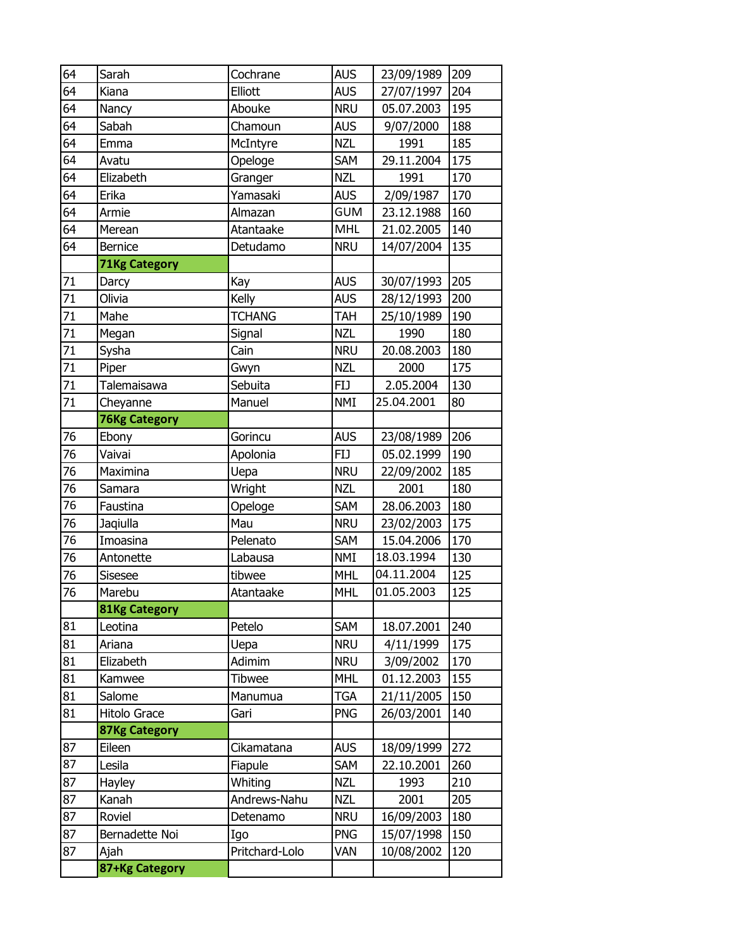| 64 | Sarah                | Cochrane       | <b>AUS</b> | 23/09/1989 | 209 |
|----|----------------------|----------------|------------|------------|-----|
| 64 | Kiana                | Elliott        | <b>AUS</b> | 27/07/1997 | 204 |
| 64 | Nancy                | Abouke         | <b>NRU</b> | 05.07.2003 | 195 |
| 64 | Sabah                | Chamoun        | <b>AUS</b> | 9/07/2000  | 188 |
| 64 | Emma                 | McIntyre       | <b>NZL</b> | 1991       | 185 |
| 64 | Avatu                | Opeloge        | SAM        | 29.11.2004 | 175 |
| 64 | Elizabeth            | Granger        | <b>NZL</b> | 1991       | 170 |
| 64 | Erika                | Yamasaki       | <b>AUS</b> | 2/09/1987  | 170 |
| 64 | Armie                | Almazan        | <b>GUM</b> | 23.12.1988 | 160 |
| 64 | Merean               | Atantaake      | <b>MHL</b> | 21.02.2005 | 140 |
| 64 | <b>Bernice</b>       | Detudamo       | <b>NRU</b> | 14/07/2004 | 135 |
|    | <b>71Kg Category</b> |                |            |            |     |
| 71 | Darcy                | Kay            | <b>AUS</b> | 30/07/1993 | 205 |
| 71 | Olivia               | Kelly          | <b>AUS</b> | 28/12/1993 | 200 |
| 71 | Mahe                 | <b>TCHANG</b>  | TAH        | 25/10/1989 | 190 |
| 71 | Megan                | Signal         | <b>NZL</b> | 1990       | 180 |
| 71 | Sysha                | Cain           | <b>NRU</b> | 20.08.2003 | 180 |
| 71 | Piper                | Gwyn           | <b>NZL</b> | 2000       | 175 |
| 71 | Talemaisawa          | Sebuita        | <b>FIJ</b> | 2.05.2004  | 130 |
| 71 | Cheyanne             | Manuel         | <b>NMI</b> | 25.04.2001 | 80  |
|    | <b>76Kg Category</b> |                |            |            |     |
| 76 | Ebony                | Gorincu        | <b>AUS</b> | 23/08/1989 | 206 |
| 76 | Vaivai               | Apolonia       | <b>FIJ</b> | 05.02.1999 | 190 |
| 76 | Maximina             | Uepa           | <b>NRU</b> | 22/09/2002 | 185 |
| 76 | Samara               | Wright         | <b>NZL</b> | 2001       | 180 |
| 76 | Faustina             | Opeloge        | SAM        | 28.06.2003 | 180 |
| 76 | Jaqiulla             | Mau            | <b>NRU</b> | 23/02/2003 | 175 |
| 76 | Imoasina             | Pelenato       | SAM        | 15.04.2006 | 170 |
| 76 | Antonette            | Labausa        | <b>NMI</b> | 18.03.1994 | 130 |
| 76 | <b>Sisesee</b>       | tibwee         | <b>MHL</b> | 04.11.2004 | 125 |
| 76 | Marebu               | Atantaake      | <b>MHL</b> | 01.05.2003 | 125 |
|    | <b>81Kg Category</b> |                |            |            |     |
| 81 | Leotina              | Petelo         | SAM        | 18.07.2001 | 240 |
| 81 | Ariana               | Uepa           | <b>NRU</b> | 4/11/1999  | 175 |
| 81 | Elizabeth            | Adimim         | <b>NRU</b> | 3/09/2002  | 170 |
| 81 | Kamwee               | <b>Tibwee</b>  | <b>MHL</b> | 01.12.2003 | 155 |
| 81 | Salome               | Manumua        | <b>TGA</b> | 21/11/2005 | 150 |
| 81 | Hitolo Grace         | Gari           | <b>PNG</b> | 26/03/2001 | 140 |
|    | <b>87Kg Category</b> |                |            |            |     |
| 87 | Eileen               | Cikamatana     | <b>AUS</b> | 18/09/1999 | 272 |
| 87 | Lesila               | Fiapule        | <b>SAM</b> | 22.10.2001 | 260 |
| 87 | Hayley               | Whiting        | <b>NZL</b> | 1993       | 210 |
| 87 | Kanah                | Andrews-Nahu   | <b>NZL</b> | 2001       | 205 |
| 87 | Roviel               | Detenamo       | <b>NRU</b> | 16/09/2003 | 180 |
| 87 | Bernadette Noi       | Igo            | <b>PNG</b> | 15/07/1998 | 150 |
| 87 | Ajah                 | Pritchard-Lolo | VAN        | 10/08/2002 | 120 |
|    | 87+Kg Category       |                |            |            |     |